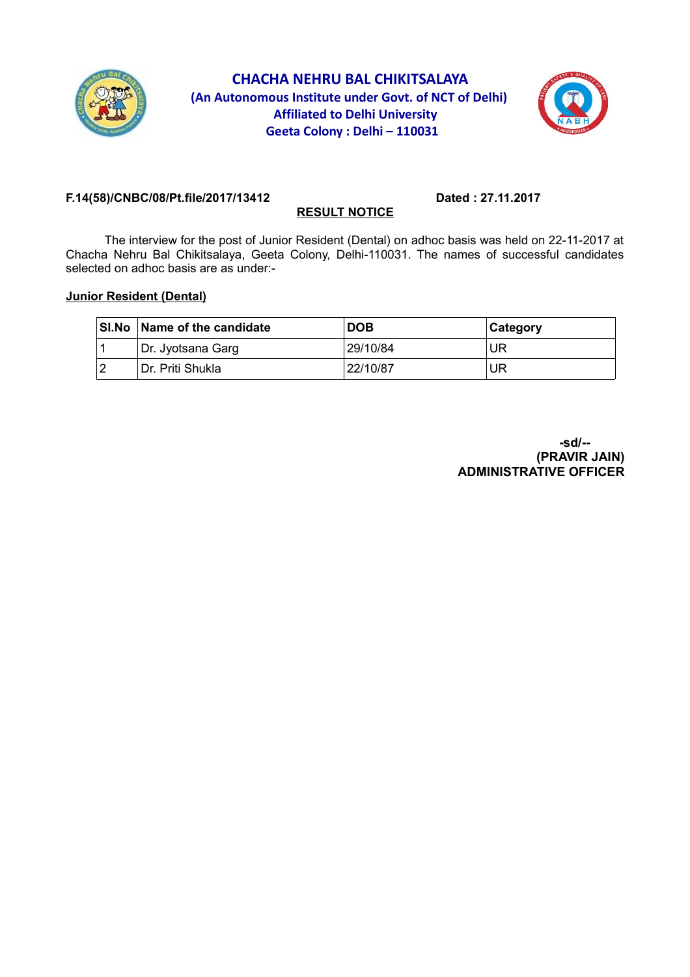

## **CHACHA NEHRU BAL CHIKITSALAYA (An Autonomous Institute under Govt. of NCT of Delhi) Affiliated to Delhi University Geeta Colony : Delhi – 110031**



## **F.14(58)/CNBC/08/Pt.file/2017/13412 Dated : 27.11.2017**

## **RESULT NOTICE**

 The interview for the post of Junior Resident (Dental) on adhoc basis was held on 22-11-2017 at Chacha Nehru Bal Chikitsalaya, Geeta Colony, Delhi-110031. The names of successful candidates selected on adhoc basis are as under:-

## **Junior Resident (Dental)**

| SI.No | Name of the candidate | <b>DOB</b> | <b>Category</b> |
|-------|-----------------------|------------|-----------------|
|       | Dr. Jyotsana Garg     | 29/10/84   | UR              |
|       | Dr. Priti Shukla      | 22/10/87   | UR              |

**-sd/-- (PRAVIR JAIN) ADMINISTRATIVE OFFICER**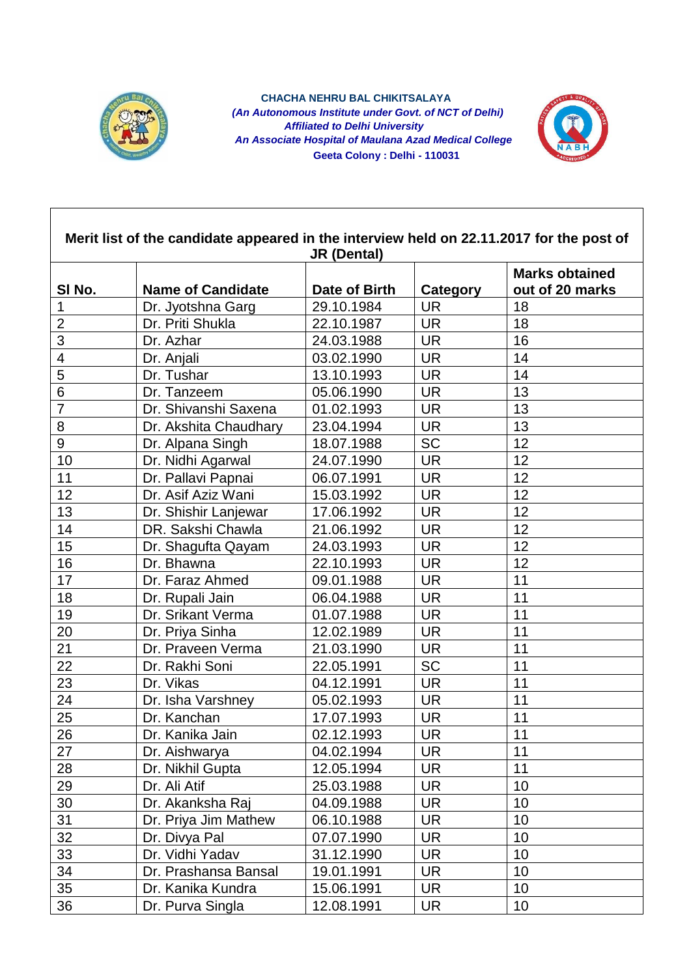

 **CHACHA NEHRU BAL CHIKITSALAYA**  *(An Autonomous Institute under Govt. of NCT of Delhi) Affiliated to Delhi University An Associate Hospital of Maulana Azad Medical College*  **Geeta Colony : Delhi - 110031**



| Merit list of the candidate appeared in the interview held on 22.11.2017 for the post of<br><b>JR (Dental)</b> |                          |               |           |                                          |
|----------------------------------------------------------------------------------------------------------------|--------------------------|---------------|-----------|------------------------------------------|
| SI No.                                                                                                         | <b>Name of Candidate</b> | Date of Birth | Category  | <b>Marks obtained</b><br>out of 20 marks |
| 1                                                                                                              | Dr. Jyotshna Garg        | 29.10.1984    | UR.       | 18                                       |
| $\overline{2}$                                                                                                 | Dr. Priti Shukla         | 22.10.1987    | <b>UR</b> | 18                                       |
| 3                                                                                                              | Dr. Azhar                | 24.03.1988    | <b>UR</b> | 16                                       |
| $\overline{\mathbf{4}}$                                                                                        | Dr. Anjali               | 03.02.1990    | <b>UR</b> | 14                                       |
| 5                                                                                                              | Dr. Tushar               | 13.10.1993    | <b>UR</b> | 14                                       |
| $6\phantom{1}6$                                                                                                | Dr. Tanzeem              | 05.06.1990    | <b>UR</b> | 13                                       |
| $\overline{7}$                                                                                                 | Dr. Shivanshi Saxena     | 01.02.1993    | <b>UR</b> | 13                                       |
| 8                                                                                                              | Dr. Akshita Chaudhary    | 23.04.1994    | <b>UR</b> | 13                                       |
| $\boldsymbol{9}$                                                                                               | Dr. Alpana Singh         | 18.07.1988    | <b>SC</b> | 12                                       |
| 10                                                                                                             | Dr. Nidhi Agarwal        | 24.07.1990    | <b>UR</b> | 12                                       |
| 11                                                                                                             | Dr. Pallavi Papnai       | 06.07.1991    | <b>UR</b> | 12                                       |
| 12                                                                                                             | Dr. Asif Aziz Wani       | 15.03.1992    | <b>UR</b> | 12                                       |
| 13                                                                                                             | Dr. Shishir Lanjewar     | 17.06.1992    | <b>UR</b> | 12                                       |
| 14                                                                                                             | DR. Sakshi Chawla        | 21.06.1992    | <b>UR</b> | 12                                       |
| 15                                                                                                             | Dr. Shagufta Qayam       | 24.03.1993    | <b>UR</b> | 12                                       |
| 16                                                                                                             | Dr. Bhawna               | 22.10.1993    | <b>UR</b> | 12                                       |
| 17                                                                                                             | Dr. Faraz Ahmed          | 09.01.1988    | <b>UR</b> | 11                                       |
| 18                                                                                                             | Dr. Rupali Jain          | 06.04.1988    | <b>UR</b> | 11                                       |
| 19                                                                                                             | Dr. Srikant Verma        | 01.07.1988    | <b>UR</b> | 11                                       |
| 20                                                                                                             | Dr. Priya Sinha          | 12.02.1989    | <b>UR</b> | 11                                       |
| 21                                                                                                             | Dr. Praveen Verma        | 21.03.1990    | <b>UR</b> | 11                                       |
| 22                                                                                                             | Dr. Rakhi Soni           | 22.05.1991    | <b>SC</b> | 11                                       |
| 23                                                                                                             | Dr. Vikas                | 04.12.1991    | <b>UR</b> | 11                                       |
| 24                                                                                                             | Dr. Isha Varshney        | 05.02.1993    | <b>UR</b> | 11                                       |
| 25                                                                                                             | Dr. Kanchan              | 17.07.1993    | <b>UR</b> | 11                                       |
| 26                                                                                                             | Dr. Kanika Jain          | 02.12.1993    | <b>UR</b> | 11                                       |
| 27                                                                                                             | Dr. Aishwarya            | 04.02.1994    | <b>UR</b> | 11                                       |
| 28                                                                                                             | Dr. Nikhil Gupta         | 12.05.1994    | <b>UR</b> | 11                                       |
| 29                                                                                                             | Dr. Ali Atif             | 25.03.1988    | <b>UR</b> | 10                                       |
| 30                                                                                                             | Dr. Akanksha Raj         | 04.09.1988    | UR.       | 10                                       |
| 31                                                                                                             | Dr. Priya Jim Mathew     | 06.10.1988    | <b>UR</b> | 10                                       |
| 32                                                                                                             | Dr. Divya Pal            | 07.07.1990    | UR.       | 10                                       |
| 33                                                                                                             | Dr. Vidhi Yadav          | 31.12.1990    | <b>UR</b> | 10                                       |
| 34                                                                                                             | Dr. Prashansa Bansal     | 19.01.1991    | UR.       | 10                                       |
| 35                                                                                                             | Dr. Kanika Kundra        | 15.06.1991    | UR.       | 10                                       |
| 36                                                                                                             | Dr. Purva Singla         | 12.08.1991    | UR.       | 10                                       |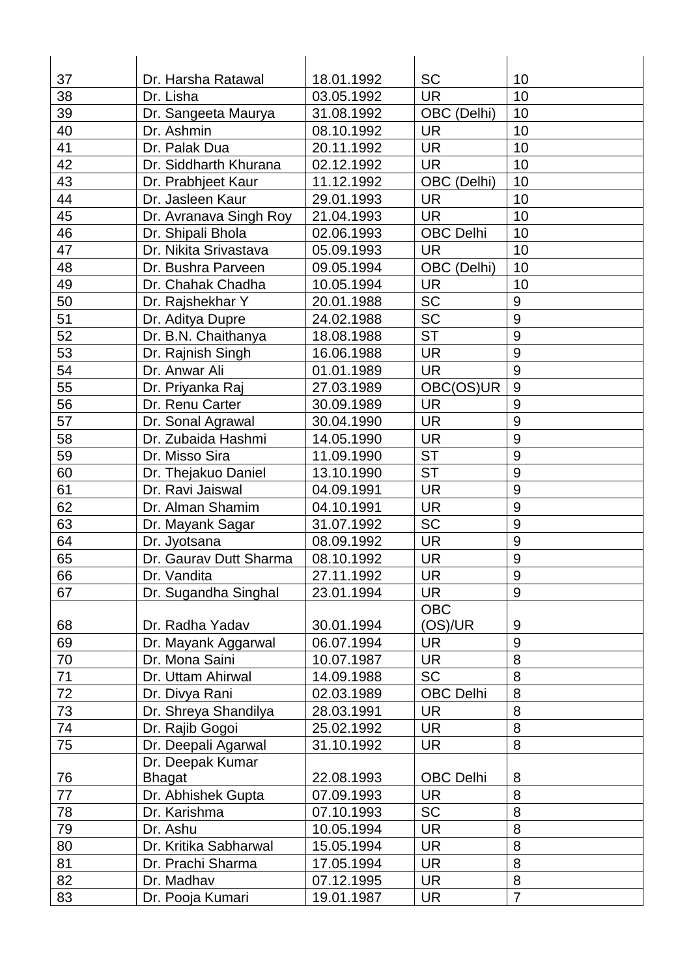| 37 | Dr. Harsha Ratawal     | 18.01.1992 | <b>SC</b>        | 10             |
|----|------------------------|------------|------------------|----------------|
| 38 | Dr. Lisha              | 03.05.1992 | <b>UR</b>        | 10             |
| 39 | Dr. Sangeeta Maurya    | 31.08.1992 | OBC (Delhi)      | 10             |
| 40 | Dr. Ashmin             | 08.10.1992 | <b>UR</b>        | 10             |
| 41 | Dr. Palak Dua          | 20.11.1992 | <b>UR</b>        | 10             |
| 42 | Dr. Siddharth Khurana  | 02.12.1992 | <b>UR</b>        | 10             |
| 43 | Dr. Prabhjeet Kaur     | 11.12.1992 | OBC (Delhi)      | 10             |
| 44 | Dr. Jasleen Kaur       | 29.01.1993 | <b>UR</b>        | 10             |
| 45 | Dr. Avranava Singh Roy | 21.04.1993 | <b>UR</b>        | 10             |
| 46 | Dr. Shipali Bhola      | 02.06.1993 | <b>OBC Delhi</b> | 10             |
| 47 | Dr. Nikita Srivastava  | 05.09.1993 | <b>UR</b>        | 10             |
| 48 | Dr. Bushra Parveen     | 09.05.1994 | OBC (Delhi)      | 10             |
| 49 | Dr. Chahak Chadha      | 10.05.1994 | <b>UR</b>        | 10             |
| 50 | Dr. Rajshekhar Y       | 20.01.1988 | <b>SC</b>        | $9\,$          |
| 51 | Dr. Aditya Dupre       | 24.02.1988 | <b>SC</b>        | 9              |
| 52 | Dr. B.N. Chaithanya    | 18.08.1988 | <b>ST</b>        | 9              |
| 53 | Dr. Rajnish Singh      | 16.06.1988 | <b>UR</b>        | 9              |
| 54 | Dr. Anwar Ali          | 01.01.1989 | <b>UR</b>        | 9              |
| 55 | Dr. Priyanka Raj       | 27.03.1989 | OBC(OS)UR        | 9              |
| 56 | Dr. Renu Carter        | 30.09.1989 | <b>UR</b>        | 9              |
| 57 | Dr. Sonal Agrawal      | 30.04.1990 | <b>UR</b>        | 9              |
| 58 | Dr. Zubaida Hashmi     | 14.05.1990 | <b>UR</b>        | 9              |
| 59 | Dr. Misso Sira         | 11.09.1990 | <b>ST</b>        | 9              |
| 60 | Dr. Thejakuo Daniel    | 13.10.1990 | <b>ST</b>        | 9              |
| 61 | Dr. Ravi Jaiswal       | 04.09.1991 | <b>UR</b>        | 9              |
| 62 | Dr. Alman Shamim       | 04.10.1991 | <b>UR</b>        | 9              |
| 63 | Dr. Mayank Sagar       | 31.07.1992 | <b>SC</b>        | 9              |
| 64 | Dr. Jyotsana           | 08.09.1992 | <b>UR</b>        | 9              |
| 65 | Dr. Gaurav Dutt Sharma | 08.10.1992 | <b>UR</b>        | 9              |
| 66 | Dr. Vandita            | 27.11.1992 | <b>UR</b>        | 9              |
| 67 | Dr. Sugandha Singhal   | 23.01.1994 | <b>UR</b>        | 9              |
|    |                        |            | <b>OBC</b>       |                |
| 68 | Dr. Radha Yadav        | 30.01.1994 | OS)/UR           | 9              |
| 69 | Dr. Mayank Aggarwal    | 06.07.1994 | <b>UR</b>        | 9              |
| 70 | Dr. Mona Saini         | 10.07.1987 | <b>UR</b>        | 8              |
| 71 | Dr. Uttam Ahirwal      | 14.09.1988 | <b>SC</b>        | 8              |
| 72 | Dr. Divya Rani         | 02.03.1989 | <b>OBC Delhi</b> | 8              |
| 73 | Dr. Shreya Shandilya   | 28.03.1991 | <b>UR</b>        | 8              |
| 74 | Dr. Rajib Gogoi        | 25.02.1992 | <b>UR</b>        | 8              |
| 75 | Dr. Deepali Agarwal    | 31.10.1992 | <b>UR</b>        | 8              |
|    | Dr. Deepak Kumar       |            |                  |                |
| 76 | <b>Bhagat</b>          | 22.08.1993 | <b>OBC Delhi</b> | 8              |
| 77 | Dr. Abhishek Gupta     | 07.09.1993 | <b>UR</b>        | 8              |
| 78 | Dr. Karishma           | 07.10.1993 | <b>SC</b>        | 8              |
| 79 | Dr. Ashu               | 10.05.1994 | <b>UR</b>        | 8              |
| 80 | Dr. Kritika Sabharwal  | 15.05.1994 | <b>UR</b>        | 8              |
| 81 | Dr. Prachi Sharma      | 17.05.1994 | <b>UR</b>        | 8              |
| 82 | Dr. Madhav             | 07.12.1995 | <b>UR</b>        | 8              |
| 83 | Dr. Pooja Kumari       | 19.01.1987 | <b>UR</b>        | $\overline{7}$ |